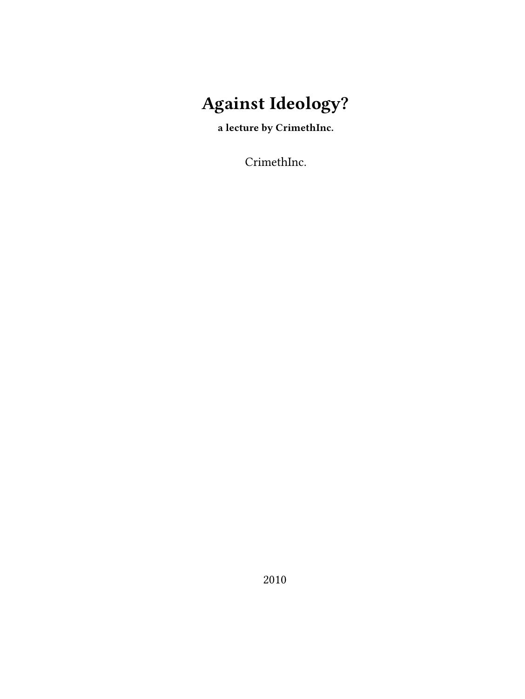# **Against Ideology?**

**a lecture by CrimethInc.**

CrimethInc.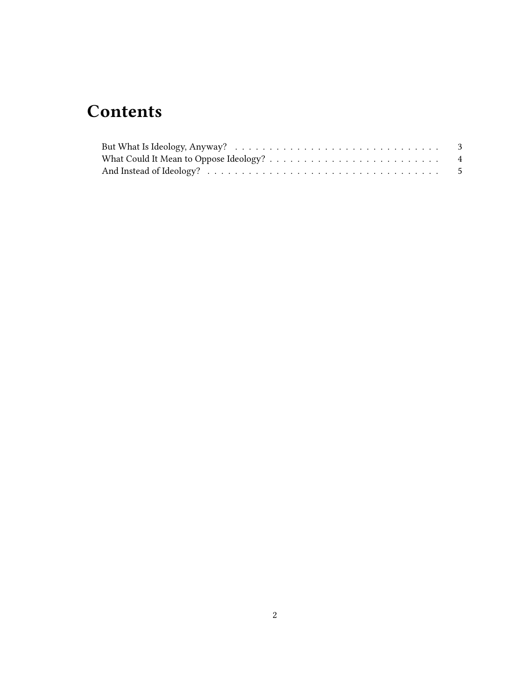## **Contents**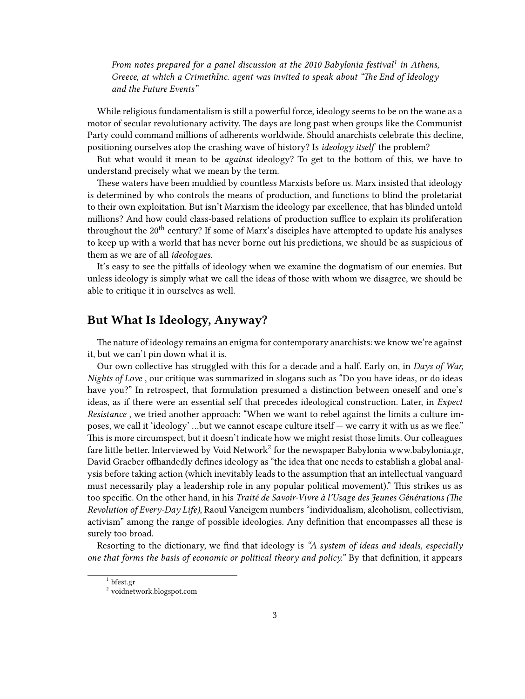*From notes prepared for a panel discussion at the 2010 Babylonia festival<sup>1</sup> in Athens, Greece, at which a CrimethInc. agent was invited to speak about "The End of Ideology and the Future Events"*

While religious fundamentalism is still a powerful force, ideology seems to be on the wane as a motor of secular revolutionary activity. The days are long past when groups like the Communist Party could command millions of adherents worldwide. Should anarchists celebrate this decline, positioning ourselves atop the crashing wave of history? Is *ideology itself* the problem?

But what would it mean to be *against* ideology? To get to the bottom of this, we have to understand precisely what we mean by the term.

These waters have been muddied by countless Marxists before us. Marx insisted that ideology is determined by who controls the means of production, and functions to blind the proletariat to their own exploitation. But isn't Marxism the ideology par excellence, that has blinded untold millions? And how could class-based relations of production suffice to explain its proliferation throughout the  $20<sup>th</sup>$  century? If some of Marx's disciples have attempted to update his analyses to keep up with a world that has never borne out his predictions, we should be as suspicious of them as we are of all *ideologues.*

It's easy to see the pitfalls of ideology when we examine the dogmatism of our enemies. But unless ideology is simply what we call the ideas of those with whom we disagree, we should be able to critique it in ourselves as well.

#### <span id="page-2-0"></span>**But What Is Ideology, Anyway?**

The nature of ideology remains an enigma for contemporary anarchists: we know we're against it, but we can't pin down what it is.

Our own collective has struggled with this for a decade and a half. Early on, in *Days of War, Nights of Love* , our critique was summarized in slogans such as "Do you have ideas, or do ideas have you?" In retrospect, that formulation presumed a distinction between oneself and one's ideas, as if there were an essential self that precedes ideological construction. Later, in *Expect Resistance* , we tried another approach: "When we want to rebel against the limits a culture imposes, we call it 'ideology' …but we cannot escape culture itself — we carry it with us as we flee." This is more circumspect, but it doesn't indicate how we might resist those limits. Our colleagues fare little better. Interviewed by Void Network $^2$  for the newspaper Babylonia [www.babylonia.gr](http://www.babylonia.gr), David Graeber offhandedly defines ideology as "the idea that one needs to establish a global analysis before taking action (which inevitably leads to the assumption that an intellectual vanguard must necessarily play a leadership role in any popular political movement)." This strikes us as too specific. On the other hand, in his *Traité de Savoir-Vivre à l'Usage des Jeunes Générations (The Revolution of Every-Day Life)*, Raoul Vaneigem numbers "individualism, alcoholism, collectivism, activism" among the range of possible ideologies. Any definition that encompasses all these is surely too broad.

Resorting to the dictionary, we find that ideology is *"A system of ideas and ideals, especially one that forms the basis of economic or political theory and policy."* By that definition, it appears

<sup>1</sup> [bfest.gr](http://bfest.gr/)

<sup>2</sup> [voidnetwork.blogspot.com](http://voidnetwork.blogspot.com/2010/05/exclusive-interview-of-david-graeber-by.html)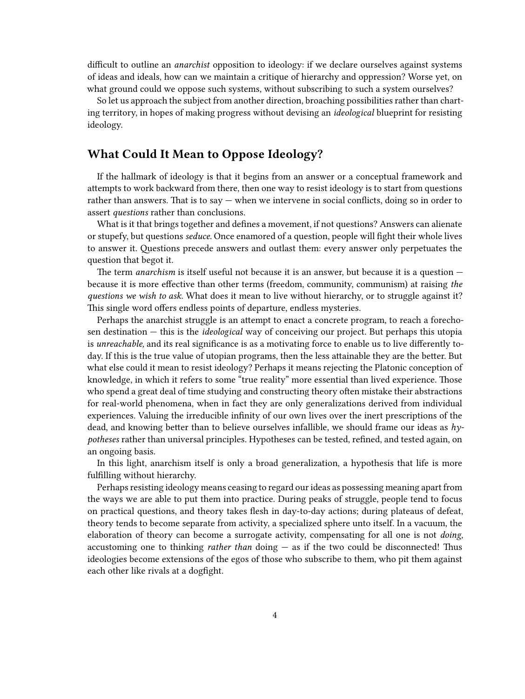difficult to outline an *anarchist* opposition to ideology: if we declare ourselves against systems of ideas and ideals, how can we maintain a critique of hierarchy and oppression? Worse yet, on what ground could we oppose such systems, without subscribing to such a system ourselves?

So let us approach the subject from another direction, broaching possibilities rather than charting territory, in hopes of making progress without devising an *ideological* blueprint for resisting ideology.

#### <span id="page-3-0"></span>**What Could It Mean to Oppose Ideology?**

If the hallmark of ideology is that it begins from an answer or a conceptual framework and attempts to work backward from there, then one way to resist ideology is to start from questions rather than answers. That is to say — when we intervene in social conflicts, doing so in order to assert *questions* rather than conclusions.

What is it that brings together and defines a movement, if not questions? Answers can alienate or stupefy, but questions *seduce.* Once enamored of a question, people will fight their whole lives to answer it. Questions precede answers and outlast them: every answer only perpetuates the question that begot it.

The term *anarchism* is itself useful not because it is an answer, but because it is a question because it is more effective than other terms (freedom, community, communism) at raising *the questions we wish to ask.* What does it mean to live without hierarchy, or to struggle against it? This single word offers endless points of departure, endless mysteries.

Perhaps the anarchist struggle is an attempt to enact a concrete program, to reach a forechosen destination — this is the *ideological* way of conceiving our project. But perhaps this utopia is *unreachable*, and its real significance is as a motivating force to enable us to live differently today. If this is the true value of utopian programs, then the less attainable they are the better. But what else could it mean to resist ideology? Perhaps it means rejecting the Platonic conception of knowledge, in which it refers to some "true reality" more essential than lived experience. Those who spend a great deal of time studying and constructing theory often mistake their abstractions for real-world phenomena, when in fact they are only generalizations derived from individual experiences. Valuing the irreducible infinity of our own lives over the inert prescriptions of the dead, and knowing better than to believe ourselves infallible, we should frame our ideas as *hypotheses* rather than universal principles. Hypotheses can be tested, refined, and tested again, on an ongoing basis.

In this light, anarchism itself is only a broad generalization, a hypothesis that life is more fulfilling without hierarchy.

Perhaps resisting ideology means ceasing to regard our ideas as possessing meaning apart from the ways we are able to put them into practice. During peaks of struggle, people tend to focus on practical questions, and theory takes flesh in day-to-day actions; during plateaus of defeat, theory tends to become separate from activity, a specialized sphere unto itself. In a vacuum, the elaboration of theory can become a surrogate activity, compensating for all one is not *doing,* accustoming one to thinking *rather than* doing — as if the two could be disconnected! Thus ideologies become extensions of the egos of those who subscribe to them, who pit them against each other like rivals at a dogfight.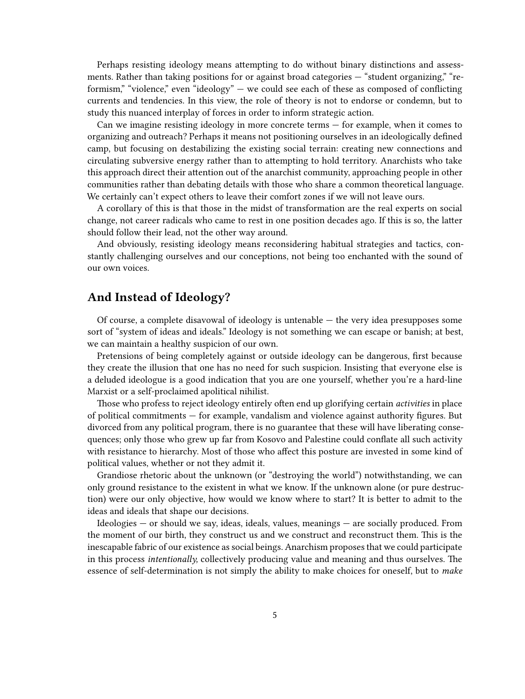Perhaps resisting ideology means attempting to do without binary distinctions and assessments. Rather than taking positions for or against broad categories — "student organizing," "reformism," "violence," even "ideology" — we could see each of these as composed of conflicting currents and tendencies. In this view, the role of theory is not to endorse or condemn, but to study this nuanced interplay of forces in order to inform strategic action.

Can we imagine resisting ideology in more concrete terms — for example, when it comes to organizing and outreach? Perhaps it means not positioning ourselves in an ideologically defined camp, but focusing on destabilizing the existing social terrain: creating new connections and circulating subversive energy rather than to attempting to hold territory. Anarchists who take this approach direct their attention out of the anarchist community, approaching people in other communities rather than debating details with those who share a common theoretical language. We certainly can't expect others to leave their comfort zones if we will not leave ours.

A corollary of this is that those in the midst of transformation are the real experts on social change, not career radicals who came to rest in one position decades ago. If this is so, the latter should follow their lead, not the other way around.

And obviously, resisting ideology means reconsidering habitual strategies and tactics, constantly challenging ourselves and our conceptions, not being too enchanted with the sound of our own voices.

#### <span id="page-4-0"></span>**And Instead of Ideology?**

Of course, a complete disavowal of ideology is untenable — the very idea presupposes some sort of "system of ideas and ideals." Ideology is not something we can escape or banish; at best, we can maintain a healthy suspicion of our own.

Pretensions of being completely against or outside ideology can be dangerous, first because they create the illusion that one has no need for such suspicion. Insisting that everyone else is a deluded ideologue is a good indication that you are one yourself, whether you're a hard-line Marxist or a self-proclaimed apolitical nihilist.

Those who profess to reject ideology entirely often end up glorifying certain *activities* in place of political commitments — for example, vandalism and violence against authority figures. But divorced from any political program, there is no guarantee that these will have liberating consequences; only those who grew up far from Kosovo and Palestine could conflate all such activity with resistance to hierarchy. Most of those who affect this posture are invested in some kind of political values, whether or not they admit it.

Grandiose rhetoric about the unknown (or "destroying the world") notwithstanding, we can only ground resistance to the existent in what we know. If the unknown alone (or pure destruction) were our only objective, how would we know where to start? It is better to admit to the ideas and ideals that shape our decisions.

Ideologies — or should we say, ideas, ideals, values, meanings — are socially produced. From the moment of our birth, they construct us and we construct and reconstruct them. This is the inescapable fabric of our existence as social beings. Anarchism proposes that we could participate in this process *intentionally,* collectively producing value and meaning and thus ourselves. The essence of self-determination is not simply the ability to make choices for oneself, but to *make*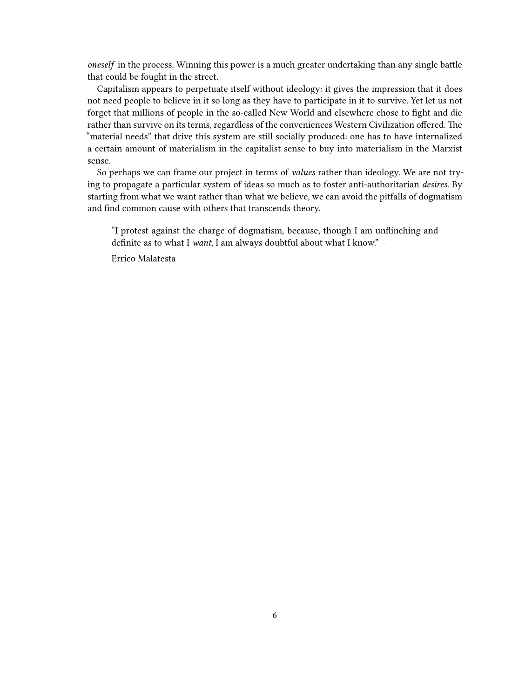*oneself* in the process. Winning this power is a much greater undertaking than any single battle that could be fought in the street.

Capitalism appears to perpetuate itself without ideology: it gives the impression that it does not need people to believe in it so long as they have to participate in it to survive. Yet let us not forget that millions of people in the so-called New World and elsewhere chose to fight and die rather than survive on its terms, regardless of the conveniences Western Civilization offered. The "material needs" that drive this system are still socially produced: one has to have internalized a certain amount of materialism in the capitalist sense to buy into materialism in the Marxist sense.

So perhaps we can frame our project in terms of *values* rather than ideology. We are not trying to propagate a particular system of ideas so much as to foster anti-authoritarian *desires.* By starting from what we want rather than what we believe, we can avoid the pitfalls of dogmatism and find common cause with others that transcends theory.

"I protest against the charge of dogmatism, because, though I am unflinching and definite as to what I *want*, I am always doubtful about what I know." —

Errico Malatesta